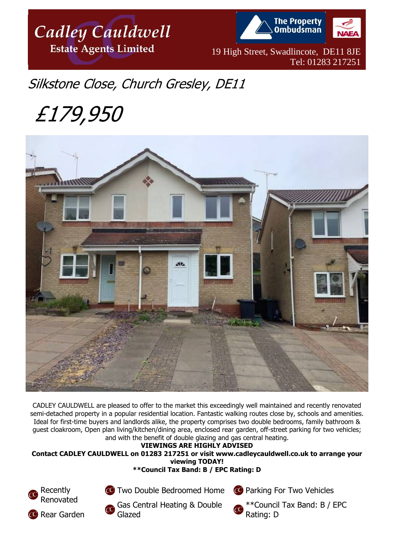

**The Property Ombudsman** 

19 High Street, Swadlincote, DE11 8JE Tel: 01283 217251

## Silkstone Close, Church Gresley, DE11

# £179,950



CADLEY CAULDWELL are pleased to offer to the market this exceedingly well maintained and recently renovated semi-detached property in a popular residential location. Fantastic walking routes close by, schools and amenities. Ideal for first-time buyers and landlords alike, the property comprises two double bedrooms, family bathroom & guest cloakroom, Open plan living/kitchen/dining area, enclosed rear garden, off-street parking for two vehicles; and with the benefit of double glazing and gas central heating.

#### **VIEWINGS ARE HIGHLY ADVISED**

**Contact CADLEY CAULDWELL on 01283 217251 or visit www.cadleycauldwell.co.uk to arrange your viewing TODAY!** 





**CO** Two Double Bedroomed Home

Gas Central Heating & Double Glazed

**CO** Parking For Two Vehicles



\*\*Council Tax Band: B / EPC Rating: D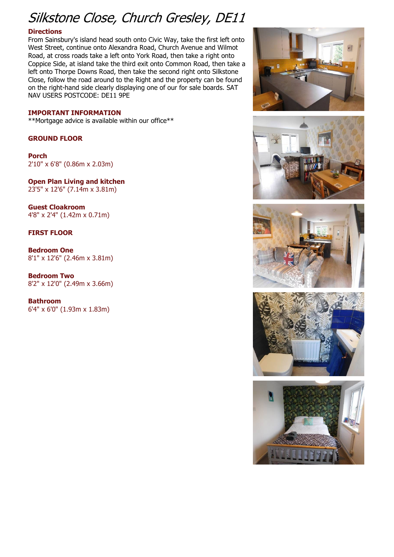## Silkstone Close, Church Gresley, DE11

#### **Directions**

From Sainsbury's island head south onto Civic Way, take the first left onto West Street, continue onto Alexandra Road, Church Avenue and Wilmot Road, at cross roads take a left onto York Road, then take a right onto Coppice Side, at island take the third exit onto Common Road, then take a left onto Thorpe Downs Road, then take the second right onto Silkstone Close, follow the road around to the Right and the property can be found on the right-hand side clearly displaying one of our for sale boards. SAT NAV USERS POSTCODE: DE11 9PE

#### **IMPORTANT INFORMATION**

\*\*Mortgage advice is available within our office\*\*

#### **GROUND FLOOR**

**Porch** 2'10" x 6'8" (0.86m x 2.03m)

**Open Plan Living and kitchen** 23'5" x 12'6" (7.14m x 3.81m)

**Guest Cloakroom** 4'8" x 2'4" (1.42m x 0.71m)

#### **FIRST FLOOR**

**Bedroom One** 8'1" x 12'6" (2.46m x 3.81m)

**Bedroom Two** 8'2" x 12'0" (2.49m x 3.66m)

**Bathroom** 6'4" x 6'0" (1.93m x 1.83m)